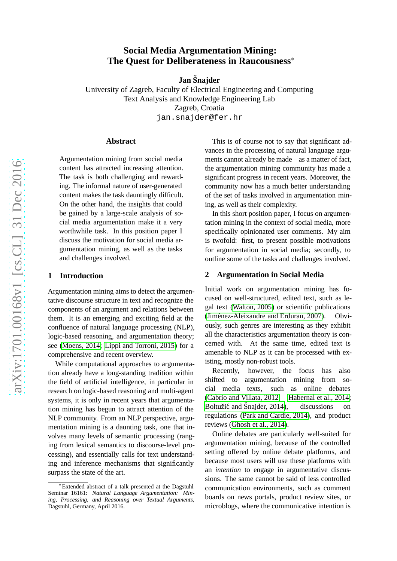# **Social Media Argumentation Mining: The Quest for Deliberateness in Raucousness** ∗

**Jan Snajder ˇ**

University of Zagreb, Faculty of Electrical Engineering and Computing Text Analysis and Knowledge Engineering Lab Zagreb, Croatia jan.snajder@fer.hr

#### **Abstract**

Argumentation mining from social media content has attracted increasing attention. The task is both challenging and rewarding. The informal nature of user-generated content makes the task dauntingly difficult. On the other hand, the insights that could be gained by a large-scale analysis of social media argumentation make it a very worthwhile task. In this position paper I discuss the motivation for social media argumentation mining, as well as the tasks and challenges involved.

#### **1 Introduction**

Argumentation mining aims to detect the argumentative discourse structure in text and recognize the components of an argument and relations between them. It is an emerging and exciting field at the confluence of natural language processing (NLP), logic-based reasoning, and argumentation theory; see [\(Moens, 2014;](#page-4-0) [Lippi and Torroni, 2015\)](#page-4-1) for a comprehensive and recent overview.

While computational approaches to argumentation already have a long-standing tradition within the field of artificial intelligence, in particular in research on logic-based reasoning and multi-agent systems, it is only in recent years that argumentation mining has begun to attract attention of the NLP community. From an NLP perspective, argumentation mining is a daunting task, one that involves many levels of semantic processing (ranging from lexical semantics to discourse-level processing), and essentially calls for text understanding and inference mechanisms that significantly surpass the state of the art.

This is of course not to say that significant advances in the processing of natural language arguments cannot already be made – as a matter of fact, the argumentation mining community has made a significant progress in recent years. Moreover, the community now has a much better understanding of the set of tasks involved in argumentation mining, as well as their complexity.

In this short position paper, I focus on argumentation mining in the context of social media, more specifically opinionated user comments. My aim is twofold: first, to present possible motivations for argumentation in social media; secondly, to outline some of the tasks and challenges involved.

#### **2 Argumentation in Social Media**

Initial work on argumentation mining has focused on well-structured, edited text, such as legal text [\(Walton, 2005\)](#page-4-2) or scientific publications (Jiménez-Aleixandre and Erduran, 2007). Obviously, such genres are interesting as they exhibit all the characteristics argumentation theory is concerned with. At the same time, edited text is amenable to NLP as it can be processed with existing, mostly non-robust tools.

Recently, however, the focus has also shifted to argumentation mining from social media texts, such as online debates [\(Cabrio and Villata, 2012;](#page-3-0) [Habernal et al., 2014;](#page-4-4) Boltužić and Šnajder,  $2014$ ), discussions on regulations [\(Park and Cardie, 2014\)](#page-4-5), and product reviews [\(Ghosh et al., 2014\)](#page-4-6).

Online debates are particularly well-suited for argumentation mining, because of the controlled setting offered by online debate platforms, and because most users will use these platforms with an *intention* to engage in argumentative discussions. The same cannot be said of less controlled communication environments, such as comment boards on news portals, product review sites, or microblogs, where the communicative intention is

<sup>∗</sup> Extended abstract of a talk presented at the Dagstuhl Seminar 16161: *Natural Language Argumentation: Mining, Processing, and Reasoning over Textual Arguments*, Dagstuhl, Germany, April 2016.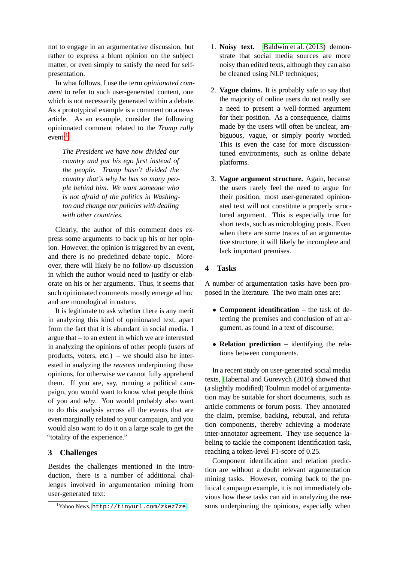not to engage in an argumentative discussion, but rather to express a blunt opinion on the subject matter, or even simply to satisfy the need for selfpresentation.

In what follows, I use the term *opinionated comment* to refer to such user-generated content, one which is not necessarily generated within a debate. As a prototypical example is a comment on a news article. As an example, consider the following opinionated comment related to the *Trump rally*  $even<sup>1</sup>$  $even<sup>1</sup>$  $even<sup>1</sup>$ 

*The President we have now divided our country and put his ego first instead of the people. Trump hasn't divided the country that's why he has so many people behind him. We want someone who is not afraid of the politics in Washington and change our policies with dealing with other countries.*

Clearly, the author of this comment does express some arguments to back up his or her opinion. However, the opinion is triggered by an event, and there is no predefined debate topic. Moreover, there will likely be no follow-up discussion in which the author would need to justify or elaborate on his or her arguments. Thus, it seems that such opinionated comments mostly emerge ad hoc and are monological in nature.

It is legitimate to ask whether there is any merit in analyzing this kind of opinionated text, apart from the fact that it is abundant in social media. I argue that – to an extent in which we are interested in analyzing the opinions of other people (users of products, voters, etc.) – we should also be interested in analyzing the *reasons* underpinning those opinions, for otherwise we cannot fully apprehend them. If you are, say, running a political campaign, you would want to know what people think of you and *why*. You would probably also want to do this analysis across all the events that are even marginally related to your campaign, and you would also want to do it on a large scale to get the "totality of the experience."

## **3 Challenges**

Besides the challenges mentioned in the introduction, there is a number of additional challenges involved in argumentation mining from user-generated text:

- 1. **Noisy text.** [Baldwin et al. \(2013\)](#page-3-2) demonstrate that social media sources are more noisy than edited texts, although they can also be cleaned using NLP techniques;
- 2. **Vague claims.** It is probably safe to say that the majority of online users do not really see a need to present a well-formed argument for their position. As a consequence, claims made by the users will often be unclear, ambiguous, vague, or simply poorly worded. This is even the case for more discussiontuned environments, such as online debate platforms.
- 3. **Vague argument structure.** Again, because the users rarely feel the need to argue for their position, most user-generated opinionated text will not constitute a properly structured argument. This is especially true for short texts, such as microbloging posts. Even when there are some traces of an argumentative structure, it will likely be incomplete and lack important premises.

#### **4 Tasks**

A number of argumentation tasks have been proposed in the literature. The two main ones are:

- **Component identification** the task of detecting the premises and conclusion of an argument, as found in a text of discourse;
- **Relation prediction** identifying the relations between components.

In a recent study on user-generated social media texts, [Habernal and Gurevych \(2016\)](#page-4-7) showed that (a slightly modified) Toulmin model of argumentation may be suitable for short documents, such as article comments or forum posts. They annotated the claim, premise, backing, rebuttal, and refutation components, thereby achieving a moderate inter-annotator agreement. They use sequence labeling to tackle the component identification task, reaching a token-level F1-score of 0.25.

Component identification and relation prediction are without a doubt relevant argumentation mining tasks. However, coming back to the political campaign example, it is not immediately obvious how these tasks can aid in analyzing the reasons underpinning the opinions, especially when

<span id="page-1-0"></span><sup>&</sup>lt;sup>1</sup>Yahoo News, <http://tinyurl.com/zkez7ze>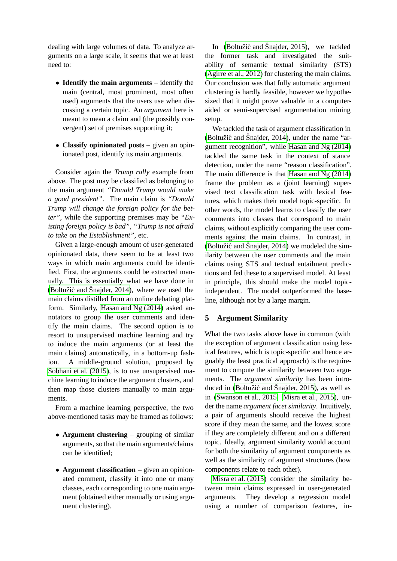dealing with large volumes of data. To analyze arguments on a large scale, it seems that we at least need to:

- **Identify the main arguments** identify the main (central, most prominent, most often used) arguments that the users use when discussing a certain topic. An *argument* here is meant to mean a claim and (the possibly convergent) set of premises supporting it;
- **Classify opinionated posts** given an opinionated post, identify its main arguments.

Consider again the *Trump rally* example from above. The post may be classified as belonging to the main argument *"Donald Trump would make a good president"*. The main claim is *"Donald Trump will change the foreign policy for the better"*, while the supporting premises may be *"Existing foreign policy is bad"*, *"Trump is not afraid to take on the Establishment"*, etc.

Given a large-enough amount of user-generated opinionated data, there seem to be at least two ways in which main arguments could be identified. First, the arguments could be extracted manually. This is essentially what we have done in (Boltužić and Šnajder, 2014), where we used the main claims distilled from an online debating platform. Similarly, [Hasan and Ng \(2014\)](#page-4-8) asked annotators to group the user comments and identify the main claims. The second option is to resort to unsupervised machine learning and try to induce the main arguments (or at least the main claims) automatically, in a bottom-up fashion. A middle-ground solution, proposed by [Sobhani et al. \(2015\)](#page-4-9), is to use unsupervised machine learning to induce the argument clusters, and then map those clusters manually to main arguments.

From a machine learning perspective, the two above-mentioned tasks may be framed as follows:

- **Argument clustering** grouping of similar arguments, so that the main arguments/claims can be identified;
- **Argument classification** given an opinionated comment, classify it into one or many classes, each corresponding to one main argument (obtained either manually or using argument clustering).

In (Boltužić and Šnajder, 2015), we tackled the former task and investigated the suitability of semantic textual similarity (STS) [\(Agirre et al., 2012\)](#page-3-4) for clustering the main claims. Our conclusion was that fully automatic argument clustering is hardly feasible, however we hypothesized that it might prove valuable in a computeraided or semi-supervised argumentation mining setup.

We tackled the task of argument classification in (Boltužić and Šnajder, 2014), under the name "argument recognition", while [Hasan and Ng \(2014\)](#page-4-8) tackled the same task in the context of stance detection, under the name "reason classification". The main difference is that Hasan and  $Ng(2014)$ frame the problem as a (joint learning) supervised text classification task with lexical features, which makes their model topic-specific. In other words, the model learns to classify the user comments into classes that correspond to main claims, without explicitly comparing the user comments against the main claims. In contrast, in (Boltužić and Šnajder, 2014) we modeled the similarity between the user comments and the main claims using STS and textual entailment predictions and fed these to a supervised model. At least in principle, this should make the model topicindependent. The model outperformed the baseline, although not by a large margin.

## **5 Argument Similarity**

What the two tasks above have in common (with the exception of argument classification using lexical features, which is topic-specific and hence arguably the least practical approach) is the requirement to compute the similarity between two arguments. The *argument similarity* has been introduced in (Boltužić and Šnajder, 2015), as well as in [\(Swanson et al., 2015;](#page-4-10) [Misra et al., 2015\)](#page-4-11), under the name *argument facet similarity*. Intuitively, a pair of arguments should receive the highest score if they mean the same, and the lowest score if they are completely different and on a different topic. Ideally, argument similarity would account for both the similarity of argument components as well as the similarity of argument structures (how components relate to each other).

[Misra et al. \(2015\)](#page-4-11) consider the similarity between main claims expressed in user-generated arguments. They develop a regression model using a number of comparison features, in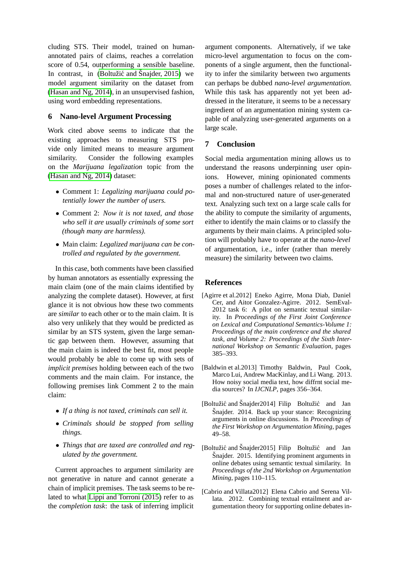cluding STS. Their model, trained on humanannotated pairs of claims, reaches a correlation score of 0.54, outperforming a sensible baseline. In contrast, in (Boltužić and Šnajder, 2015) we model argument similarity on the dataset from [\(Hasan and Ng, 2014\)](#page-4-8), in an unsupervised fashion, using word embedding representations.

# **6 Nano-level Argument Processing**

Work cited above seems to indicate that the existing approaches to measuring STS provide only limited means to measure argument similarity. Consider the following examples on the *Marijuana legalization* topic from the [\(Hasan and Ng, 2014\)](#page-4-8) dataset:

- Comment 1: *Legalizing marijuana could potentially lower the number of users.*
- Comment 2: *Now it is not taxed, and those who sell it are usually criminals of some sort (though many are harmless).*
- Main claim: *Legalized marijuana can be controlled and regulated by the government.*

In this case, both comments have been classified by human annotators as essentially expressing the main claim (one of the main claims identified by analyzing the complete dataset). However, at first glance it is not obvious how these two comments are *similar* to each other or to the main claim. It is also very unlikely that they would be predicted as similar by an STS system, given the large semantic gap between them. However, assuming that the main claim is indeed the best fit, most people would probably be able to come up with sets of *implicit premises* holding between each of the two comments and the main claim. For instance, the following premises link Comment 2 to the main claim:

- *If a thing is not taxed, criminals can sell it.*
- *Criminals should be stopped from selling things.*
- *Things that are taxed are controlled and regulated by the government.*

Current approaches to argument similarity are not generative in nature and cannot generate a chain of implicit premises. The task seems to be related to what [Lippi and Torroni \(2015\)](#page-4-1) refer to as the *completion task*: the task of inferring implicit

argument components. Alternatively, if we take micro-level argumentation to focus on the components of a single argument, then the functionality to infer the similarity between two arguments can perhaps be dubbed *nano-level argumentation*. While this task has apparently not yet been addressed in the literature, it seems to be a necessary ingredient of an argumentation mining system capable of analyzing user-generated arguments on a large scale.

# **7 Conclusion**

Social media argumentation mining allows us to understand the reasons underpinning user opinions. However, mining opinionated comments poses a number of challenges related to the informal and non-structured nature of user-generated text. Analyzing such text on a large scale calls for the ability to compute the similarity of arguments, either to identify the main claims or to classify the arguments by their main claims. A principled solution will probably have to operate at the *nano-level* of argumentation, i.e., infer (rather than merely measure) the similarity between two claims.

## **References**

- <span id="page-3-4"></span>[Agirre et al.2012] Eneko Agirre, Mona Diab, Daniel Cer, and Aitor Gonzalez-Agirre. 2012. SemEval-2012 task 6: A pilot on semantic textual similarity. In *Proceedings of the First Joint Conference on Lexical and Computational Semantics-Volume 1: Proceedings of the main conference and the shared task, and Volume 2: Proceedings of the Sixth International Workshop on Semantic Evaluation*, pages 385–393.
- <span id="page-3-2"></span>[Baldwin et al.2013] Timothy Baldwin, Paul Cook, Marco Lui, Andrew MacKinlay, and Li Wang. 2013. How noisy social media text, how diffrnt social media sources? In *IJCNLP*, pages 356–364.
- <span id="page-3-1"></span>[Boltužić and Šnajder2014] Filip Boltužić and Jan Šnajder. 2014. Back up your stance: Recognizing arguments in online discussions. In *Proceedings of the First Workshop on Argumentation Mining*, pages 49–58.
- <span id="page-3-3"></span>[Boltužić and Šnajder2015] Filip Boltužić and Jan Snajder. 2015. Identifying prominent arguments in online debates using semantic textual similarity. In *Proceedings of the 2nd Workshop on Argumentation Mining*, pages 110–115.
- <span id="page-3-0"></span>[Cabrio and Villata2012] Elena Cabrio and Serena Villata. 2012. Combining textual entailment and argumentation theory for supporting online debates in-